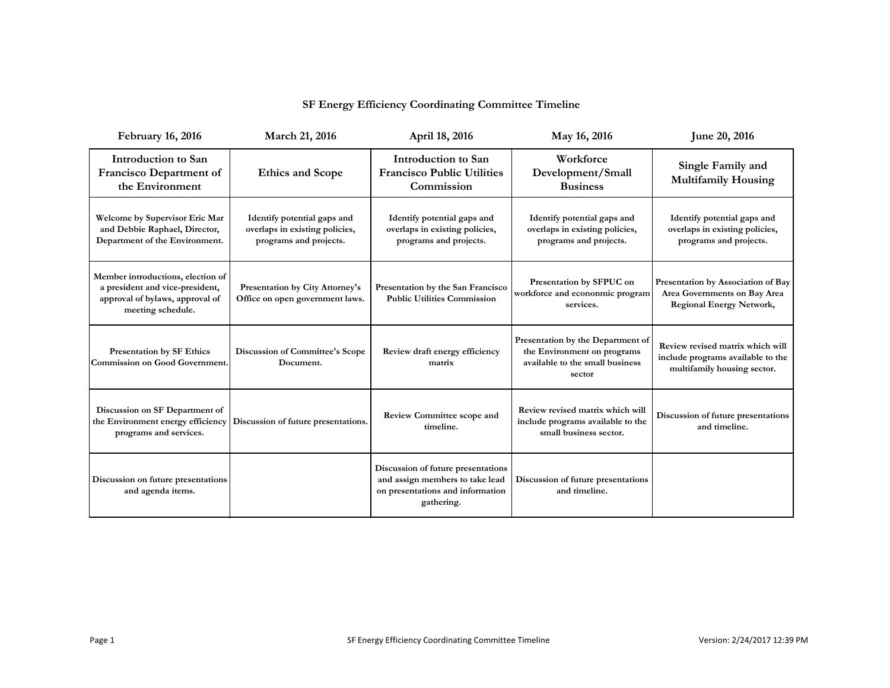| <b>February 16, 2016</b>                                                                                                     | March 21, 2016                                                                          | April 18, 2016                                                                                                          | May 16, 2016                                                                                                  | June 20, 2016                                                                                         |
|------------------------------------------------------------------------------------------------------------------------------|-----------------------------------------------------------------------------------------|-------------------------------------------------------------------------------------------------------------------------|---------------------------------------------------------------------------------------------------------------|-------------------------------------------------------------------------------------------------------|
| <b>Introduction to San</b><br><b>Francisco Department of</b><br>the Environment                                              | <b>Ethics and Scope</b>                                                                 | <b>Introduction to San</b><br><b>Francisco Public Utilities</b><br>Commission                                           | Workforce<br>Development/Small<br><b>Business</b>                                                             | <b>Single Family and</b><br><b>Multifamily Housing</b>                                                |
| Welcome by Supervisor Eric Mar<br>and Debbie Raphael, Director,<br>Department of the Environment.                            | Identify potential gaps and<br>overlaps in existing policies,<br>programs and projects. | Identify potential gaps and<br>overlaps in existing policies,<br>programs and projects.                                 | Identify potential gaps and<br>overlaps in existing policies,<br>programs and projects.                       | Identify potential gaps and<br>overlaps in existing policies,<br>programs and projects.               |
| Member introductions, election of<br>a president and vice-president,<br>approval of bylaws, approval of<br>meeting schedule. | <b>Presentation by City Attorney's</b><br>Office on open government laws.               | Presentation by the San Francisco<br><b>Public Utilities Commission</b>                                                 | Presentation by SFPUC on<br>workforce and econonmic program<br>services.                                      | Presentation by Association of Bay<br>Area Governments on Bay Area<br><b>Regional Energy Network,</b> |
| <b>Presentation by SF Ethics</b><br><b>Commission on Good Government.</b>                                                    | <b>Discussion of Committee's Scope</b><br>Document.                                     | Review draft energy efficiency<br>matrix                                                                                | Presentation by the Department of<br>the Environment on programs<br>available to the small business<br>sector | Review revised matrix which will<br>include programs available to the<br>multifamily housing sector.  |
| Discussion on SF Department of<br>the Environment energy efficiency<br>programs and services.                                | Discussion of future presentations.                                                     | <b>Review Committee scope and</b><br>timeline.                                                                          | Review revised matrix which will<br>include programs available to the<br>small business sector.               | Discussion of future presentations<br>and timeline.                                                   |
| Discussion on future presentations<br>and agenda items.                                                                      |                                                                                         | Discussion of future presentations<br>and assign members to take lead<br>on presentations and information<br>gathering. | Discussion of future presentations<br>and timeline.                                                           |                                                                                                       |

## **SF Energy Efficiency Coordinating Committee Timeline**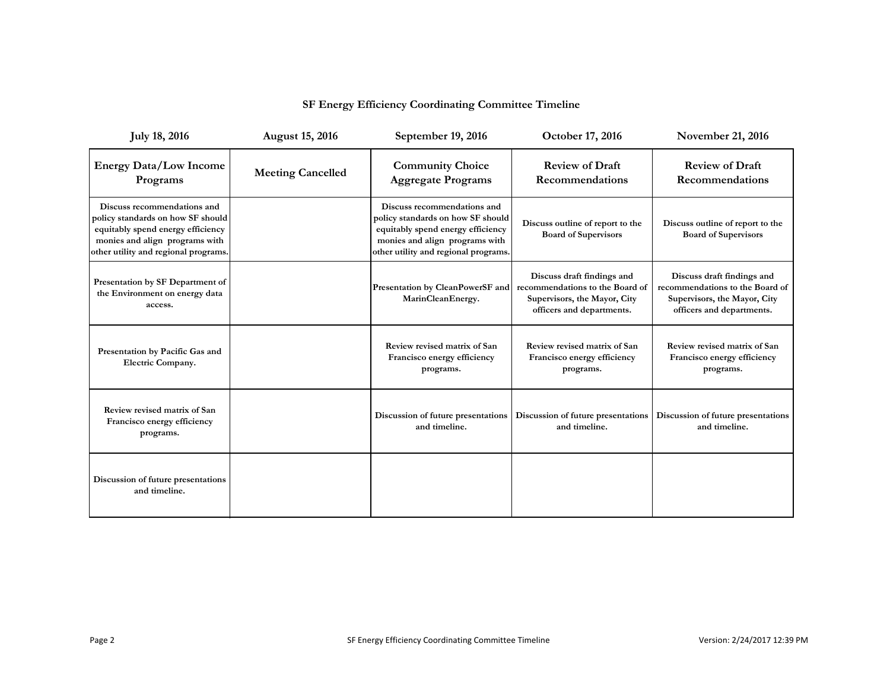| <b>July 18, 2016</b>                                                                                                                                                            | <b>August 15, 2016</b>   | September 19, 2016                                                                                                                                                              | October 17, 2016                                                                                                           | <b>November 21, 2016</b>                                                                                                   |
|---------------------------------------------------------------------------------------------------------------------------------------------------------------------------------|--------------------------|---------------------------------------------------------------------------------------------------------------------------------------------------------------------------------|----------------------------------------------------------------------------------------------------------------------------|----------------------------------------------------------------------------------------------------------------------------|
| <b>Energy Data/Low Income</b><br>Programs                                                                                                                                       | <b>Meeting Cancelled</b> | <b>Community Choice</b><br><b>Aggregate Programs</b>                                                                                                                            | <b>Review of Draft</b><br><b>Recommendations</b>                                                                           | <b>Review of Draft</b><br>Recommendations                                                                                  |
| Discuss recommendations and<br>policy standards on how SF should<br>equitably spend energy efficiency<br>monies and align programs with<br>other utility and regional programs. |                          | Discuss recommendations and<br>policy standards on how SF should<br>equitably spend energy efficiency<br>monies and align programs with<br>other utility and regional programs. | Discuss outline of report to the<br><b>Board of Supervisors</b>                                                            | Discuss outline of report to the<br><b>Board of Supervisors</b>                                                            |
| Presentation by SF Department of<br>the Environment on energy data<br>access.                                                                                                   |                          | Presentation by CleanPowerSF and<br>MarinCleanEnergy.                                                                                                                           | Discuss draft findings and<br>recommendations to the Board of<br>Supervisors, the Mayor, City<br>officers and departments. | Discuss draft findings and<br>recommendations to the Board of<br>Supervisors, the Mayor, City<br>officers and departments. |
| Presentation by Pacific Gas and<br>Electric Company.                                                                                                                            |                          | Review revised matrix of San<br>Francisco energy efficiency<br>programs.                                                                                                        | Review revised matrix of San<br>Francisco energy efficiency<br>programs.                                                   | Review revised matrix of San<br>Francisco energy efficiency<br>programs.                                                   |
| Review revised matrix of San<br>Francisco energy efficiency<br>programs.                                                                                                        |                          | Discussion of future presentations<br>and timeline.                                                                                                                             | Discussion of future presentations<br>and timeline.                                                                        | Discussion of future presentations<br>and timeline.                                                                        |
| Discussion of future presentations<br>and timeline.                                                                                                                             |                          |                                                                                                                                                                                 |                                                                                                                            |                                                                                                                            |

## **SF Energy Efficiency Coordinating Committee Timeline**